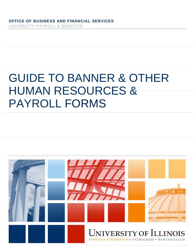# GUIDE TO BANNER & OTHER HUMAN RESOURCES & PAYROLL FORMS

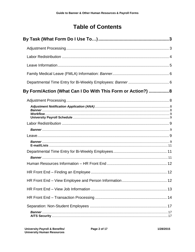## <span id="page-1-0"></span>**Table of Contents**

<span id="page-1-1"></span>

| By Form/Action (What Can I Do With This Form or Action?)  8 |  |
|-------------------------------------------------------------|--|
|                                                             |  |
|                                                             |  |
|                                                             |  |
|                                                             |  |
|                                                             |  |
|                                                             |  |
|                                                             |  |
|                                                             |  |
|                                                             |  |
|                                                             |  |
|                                                             |  |
|                                                             |  |
|                                                             |  |
|                                                             |  |
|                                                             |  |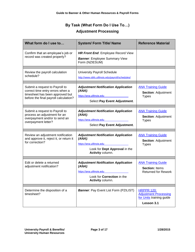## **By Task (What Form Do I Use To…) Adjustment Processing**

<span id="page-2-0"></span>

| What form do I use to                                                                                                                          | <b>System/ Form Title/ Name</b>                                                                                                           | <b>Reference Material</b>                                                                   |
|------------------------------------------------------------------------------------------------------------------------------------------------|-------------------------------------------------------------------------------------------------------------------------------------------|---------------------------------------------------------------------------------------------|
| Confirm that an employee's job or<br>record was created properly?                                                                              | <b>HR Front End: Employee Record View</b><br><b>Banner:</b> Employee Summary View<br>Form (NZIESUM)                                       |                                                                                             |
| Review the payroll calculation<br>schedule?                                                                                                    | <b>University Payroll Schedule</b><br>http://www.obfs.uillinois.edu/payroll/schedules/                                                    |                                                                                             |
| Submit a request to Payroll to<br>correct time entry errors when a<br>timesheet has been approved but<br>before the final payroll calculation? | <b>Adjustment Notification Application</b><br>$(ANA)$ :<br>https://ana.uillinois.edu<br>Select Pay Event Adjustment.                      | <b>ANA Training Guide</b><br><b>Section: Adjustment</b><br><b>Types</b>                     |
| Submit a request to Payroll to<br>process an adjustment for an<br>overpayment and/or to send an<br>overpayment letter?                         | <b>Adjustment Notification Application</b><br>$(ANA)$ :<br>https://ana.uillinois.edu<br>Select Pay Event Adjustment.                      | <b>ANA Training Guide</b><br><b>Section: Adjustment</b><br><b>Types</b>                     |
| Review an adjustment notification<br>and approve it, reject it, or return it<br>for correction?                                                | <b>Adjustment Notification Application</b><br>$(ANA)$ :<br>https://ana.uillinois.edu<br>Look for Dept Approval in the<br>Activity column. | <b>ANA Training Guide</b><br><b>Section: Adjustment</b><br><b>Types</b>                     |
| Edit or delete a returned<br>adjustment notification?                                                                                          | <b>Adjustment Notification Application</b><br>$(ANA)$ :<br>https://ana.uillinois.edu<br>Look for Correction in the<br>Activity column.    | <b>ANA Training Guide</b><br><b>Section: Items</b><br><b>Returned for Rework</b>            |
| Determine the disposition of a<br>timesheet?                                                                                                   | <b>Banner: Pay Event List Form (PZILIST)</b>                                                                                              | <b>HRPPR 120:</b><br><b>Adjustment Processing</b><br>for Units training guide<br>Lesson 3.1 |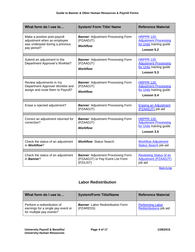| What form do I use to                                                                                         | <b>System/ Form Title/ Name</b>                                                            | <b>Reference Material</b>                                                                   |
|---------------------------------------------------------------------------------------------------------------|--------------------------------------------------------------------------------------------|---------------------------------------------------------------------------------------------|
| Make a positive post-payroll<br>adjustment when an employee<br>was underpaid during a previous<br>pay period? | <b>Banner: Adjustment Processing Form</b><br>(PZAADJT)<br><b>Workflow</b>                  | <b>HRPPR 120:</b><br><b>Adjustment Processing</b><br>for Units training guide<br>Lesson 5.2 |
| Submit an adjustment to the<br>Department Approver's Worklist?                                                | <b>Banner: Adjustment Processing Form</b><br>(PZAADJT)<br><b>Workflow</b>                  | <b>HRPPR 120:</b><br><b>Adjustment Processing</b><br>for Units training guide<br>Lesson 5.3 |
| Review adjustments in my<br>Department Approver Worklist and<br>assign and route them to Payroll?             | <b>Banner: Adjustment Processing Form</b><br>(PZAADJT)<br><b>Workflow</b>                  | <b>HRPPR 120:</b><br><b>Adjustment Processing</b><br>for Units training guide<br>Lesson 5.4 |
| Erase a rejected adjustment?                                                                                  | <b>Banner: Adjustment Processing Form</b><br>(PZAADJT)                                     | <b>Erasing an Adjustment</b><br>(PZAADJT) job aid                                           |
| Correct an adjustment returned for<br>correction?                                                             | <b>Banner: Adjustment Processing Form</b><br>(PZAADJT)<br><b>Workflow</b>                  | <b>HRPPR 120:</b><br><b>Adjustment Processing</b><br>for Units training guide<br>Lesson 3.5 |
| Check the status of an adjustment<br>in Workflow?                                                             | <b>Workflow: Status Search</b>                                                             | <b>Workflow Adjustment</b><br><b>Status Search</b> job aid                                  |
| Check the status of an adjustment<br>in <b>Banner</b> ?                                                       | <b>Banner: Adjustment Processing Form</b><br>(PZAADJT) or Pay Event List Form<br>(PZILIST) | <b>Reviewing Status of an</b><br><b>Adjustment (PZAADJT)</b><br>job aid                     |

#### **Labor Redistribution**

<span id="page-3-0"></span>

| What form do I use to                                                                         | <b>System/Form Title/Name</b>                         | <b>Reference Material</b>                          |
|-----------------------------------------------------------------------------------------------|-------------------------------------------------------|----------------------------------------------------|
| Perform a redistribution of<br>earnings for a single pay event or<br>for multiple pay events? | <b>Banner:</b> Labor Redistribution Form<br>(PZAREDS) | <b>Performing Labor</b><br>Redistributions job aid |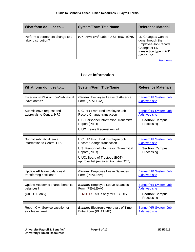| What form do I use to                                  | <b>System/Form Title/Name</b>            | <b>Reference Material</b>                                                                                                    |
|--------------------------------------------------------|------------------------------------------|------------------------------------------------------------------------------------------------------------------------------|
| Perform a permanent change to a<br>labor distribution? | <b>HR Front End: Labor DISTRIBUTIONS</b> | LD Changes: Can be<br>done through the<br>Employee Job Record<br>Change or LD<br>transaction type in HR<br><b>Front End.</b> |
|                                                        |                                          | <b>Back to top</b>                                                                                                           |

#### **Leave Information**

<span id="page-4-0"></span>

| What form do I use to                                           | <b>System/Form Title/Name</b>                                                                                                                                                                                         | <b>Reference Materials</b>                                                           |
|-----------------------------------------------------------------|-----------------------------------------------------------------------------------------------------------------------------------------------------------------------------------------------------------------------|--------------------------------------------------------------------------------------|
| Enter non-FMLA or non-Sabbatical<br>leave dates?                | <b>Banner:</b> Employee Leave of Absence<br>Form (PZAELOA)                                                                                                                                                            | <b>Banner/HR System Job</b><br>Aids web site                                         |
| Submit leave request and<br>approvals to Central HR?            | <b>UIC: HR Front End Employee Job</b><br>Record Change transaction<br><b>UIS: Personnel Information Transmittal</b><br>Report (PITR)<br><b>UIUC:</b> Leave Request e-mail                                             | <b>Banner/HR System Job</b><br>Aids web site<br><b>Section: Campus</b><br>Processing |
| Submit sabbatical leave<br>information to Central HR?           | <b>UIC: HR Front End Employee Job</b><br>Record Change transaction<br><b>UIS: Personnel Information Transmittal</b><br>Report (PITR)<br><b>UIUC: Board of Trustees (BOT)</b><br>approval list (received from the BOT) | <b>Banner/HR System Job</b><br>Aids web site<br><b>Section: Campus</b><br>Processing |
| Update AP leave balances if<br>transferring positions?          | <b>Banner:</b> Employee Leave Balances<br>Form (PEALEAV)                                                                                                                                                              | <b>Banner/HR System Job</b><br>Aids web site                                         |
| Update Academic shared benefits<br>balances?<br>(UIC, UIS only) | <b>Banner:</b> Employee Leave Balances<br>Form (PEALEAV)<br><b>NOTE:</b> This is only for UIC, UIS.                                                                                                                   | <b>Banner/HR System Job</b><br>Aids web site<br><b>Section: Campus</b><br>Processing |
| Report Civil Service vacation or<br>sick leave time?            | <b>Banner:</b> Electronic Approvals of Time<br>Entry Form (PHATIME)                                                                                                                                                   | <b>Banner/HR System Job</b><br>Aids web site                                         |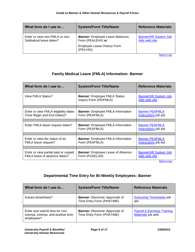| What form do I use to                                     | <b>System/Form Title/Name</b>                                                              | <b>Reference Materials</b>                   |
|-----------------------------------------------------------|--------------------------------------------------------------------------------------------|----------------------------------------------|
| Enter or view non-FMLA or non-<br>Sabbatical leave dates? | <b>Banner:</b> Employee Leave Balances<br>Form (PEALEAV) or<br>Employee Leave History Form | <b>Banner/HR System Job</b><br>Aids web site |
|                                                           | (PEILHIS)                                                                                  | Dealers for                                  |

#### **Family Medical Leave (FMLA) Information:** *Banner*

<span id="page-5-0"></span>

| What form do I use to                                                | <b>System/Form Title/Name</b>                                 | <b>Reference Materials</b>                    |
|----------------------------------------------------------------------|---------------------------------------------------------------|-----------------------------------------------|
| View FMLA Status?                                                    | <b>Banner:</b> Employee FMLA Status<br>Inquiry Form (PEIFMLA) | <b>Banner/HR System Job</b><br>Aids web site  |
|                                                                      |                                                               |                                               |
| Enter or view FMLA eligibility dates<br>(Year Begin and End Dates)?  | <b>Banner:</b> Employee FMLA Information<br>Form (PEAFMLA)    | <b>Banner PEAFMLA</b><br>Instructions job aid |
|                                                                      |                                                               |                                               |
| Enter FMLA leave request dates?                                      | <b>Banner:</b> Employee FMLA Information<br>Form (PEAFMLA)    | <b>Banner PEAFMLA</b><br>Instructions job aid |
|                                                                      |                                                               |                                               |
| Enter or view the status of an<br>FMLA leave request?                | <b>Banner:</b> Employee FMLA Information<br>Form (PEAFMLA)    | <b>Banner PEAFMLA</b><br>Instructions job aid |
|                                                                      |                                                               |                                               |
| Enter or view partial paid or unpaid<br>FMLA leave of absence dates? | <b>Banner:</b> Employee Leave of Absence<br>Form (PZAELOA)    | <b>Banner/HR System Job</b><br>Aids web site  |

**[Back to top](#page-1-1)** 

#### **Departmental Time Entry for Bi-Weekly Employees:** *Banner*

<span id="page-5-1"></span>

| What form do I use to                                                             | <b>System/Form Title/Name</b>                                       | <b>Reference Materials</b>                                   |
|-----------------------------------------------------------------------------------|---------------------------------------------------------------------|--------------------------------------------------------------|
| Extract timesheets?                                                               | <b>Banner:</b> Electronic Approvals of<br>Time Entry Form (PHATIME) | <b>Extracting Timesheets job</b><br>aid                      |
| Enter and submit time for non-<br>exempt, exempt, and positive time<br>employees? | <b>Banner:</b> Electronic Approvals of<br>Time Entry Form (PHATIME) | <b>Payroll &amp; Earnings Training</b><br>Materials job aids |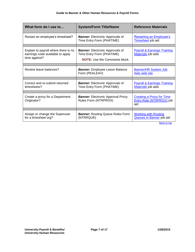| What form do I use to                                                                     | <b>System/Form Title/Name</b>                                                                               | <b>Reference Materials</b>                                                 |
|-------------------------------------------------------------------------------------------|-------------------------------------------------------------------------------------------------------------|----------------------------------------------------------------------------|
| Restart an employee's timesheet?                                                          | <b>Banner:</b> Electronic Approvals of<br>Time Entry Form (PHATIME)                                         | <b>Restarting an Employee's</b><br>Timesheet job aid                       |
| Explain to payroll where there is no<br>earnings code available to apply<br>time against? | <b>Banner:</b> Electronic Approvals of<br>Time Entry Form (PHATIME)<br><b>NOTE:</b> Use the Comments block. | <b>Payroll &amp; Earnings Training</b><br>Materials job aids               |
| Review leave balances?                                                                    | <b>Banner:</b> Employee Leave Balance<br>Form (PEALEAV)                                                     | <b>Banner/HR System Job</b><br>Aids web site                               |
| Correct and re-submit returned<br>timesheets?                                             | <b>Banner:</b> Electronic Approvals of<br>Time Entry Form (PHATIME)                                         | <b>Payroll &amp; Earnings Training</b><br>Materials job aids               |
| Create a proxy for a Department<br>Originator?                                            | <b>Banner:</b> Electronic Approval Proxy<br>Rules Form (NTRPROX)                                            | <b>Creating a Proxy for Time</b><br><b>Entry Role (NTRPROX)</b> job<br>aid |
|                                                                                           |                                                                                                             |                                                                            |
| Assign or change the Superuser<br>for a timesheet org?                                    | <b>Banner:</b> Routing Queue Rules Form<br>(NTRRQUE)                                                        | <b>Working with Routing</b><br>Queues in Banner job aid                    |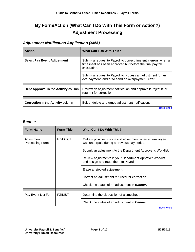## <span id="page-7-0"></span>**By Form/Action (What Can I Do With This Form or Action?) Adjustment Processing**

#### <span id="page-7-2"></span><span id="page-7-1"></span>*Adjustment Notification Application (ANA)*

| <b>Action</b>                                   | What Can I Do With This?                                                                                                                    |
|-------------------------------------------------|---------------------------------------------------------------------------------------------------------------------------------------------|
| <b>Select Pay Event Adjustment</b>              | Submit a request to Payroll to correct time entry errors when a<br>timesheet has been approved but before the final payroll<br>calculation. |
|                                                 | Submit a request to Payroll to process an adjustment for an<br>overpayment, and/or to send an overpayment letter.                           |
|                                                 |                                                                                                                                             |
| Dept Approval in the Activity column            | Review an adjustment notification and approve it, reject it, or<br>return it for correction.                                                |
|                                                 |                                                                                                                                             |
| <b>Correction</b> in the <b>Activity</b> column | Edit or delete a returned adjustment notification.                                                                                          |

**Back to top** 

#### <span id="page-7-3"></span>*Banner*

| <b>Form Name</b>              | <b>Form Title</b> | <b>What Can I Do With This?</b>                                                                         |
|-------------------------------|-------------------|---------------------------------------------------------------------------------------------------------|
| Adjustment<br>Processing Form | <b>PZAADJT</b>    | Make a positive post-payroll adjustment when an employee<br>was underpaid during a previous pay period. |
|                               |                   | Submit an adjustment to the Department Approver's Worklist.                                             |
|                               |                   | Review adjustments in your Department Approver Worklist<br>and assign and route them to Payroll.        |
|                               |                   | Erase a rejected adjustment.                                                                            |
|                               |                   | Correct an adjustment returned for correction.                                                          |
|                               |                   | Check the status of an adjustment in <b>Banner</b> .                                                    |
|                               |                   |                                                                                                         |
| Pay Event List Form           | <b>PZILIST</b>    | Determine the disposition of a timesheet.                                                               |
|                               |                   | Check the status of an adjustment in <b>Banner</b> .                                                    |
|                               |                   | <b>Back to top</b>                                                                                      |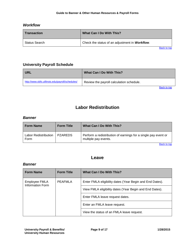#### <span id="page-8-0"></span>*Workflow*

| What Can I Do With This?                       |
|------------------------------------------------|
| Check the status of an adjustment in Workflow. |
|                                                |

Back to top

#### <span id="page-8-1"></span>**University Payroll Schedule**

| <b>URL</b>                                       | What Can I Do With This?                 |
|--------------------------------------------------|------------------------------------------|
| http://www.obfs.uillinois.edu/payroll/schedules/ | Review the payroll calculation schedule. |
|                                                  | Back to top                              |

## **Labor Redistribution**

#### <span id="page-8-3"></span><span id="page-8-2"></span>*Banner*

| <b>Form Name</b>                    | <b>Form Title</b> | What Can I Do With This?                                                               |
|-------------------------------------|-------------------|----------------------------------------------------------------------------------------|
| <b>Labor Redistribution</b><br>Form | I PZAREDS         | Perform a redistribution of earnings for a single pay event or<br>multiple pay events. |
|                                     |                   | <b>Back to top</b>                                                                     |

#### **Leave**

#### <span id="page-8-5"></span><span id="page-8-4"></span>*Banner*

| <b>Form Name</b>                  | <b>Form Title</b> | What Can I Do With This?                                 |
|-----------------------------------|-------------------|----------------------------------------------------------|
| Employee FMLA<br>Information Form | PEAFMLA           | Enter FMLA eligibility dates (Year Begin and End Dates). |
|                                   |                   | View FMLA eligibility dates (Year Begin and End Dates).  |
|                                   |                   | Enter FMLA leave request dates.                          |
|                                   |                   | Enter an FMLA leave request.                             |
|                                   |                   | View the status of an FMLA leave request.                |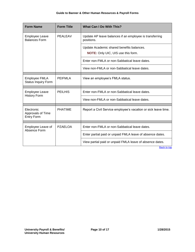| <b>Form Name</b>                                     | <b>Form Title</b> | <b>What Can I Do With This?</b>                                                 |  |
|------------------------------------------------------|-------------------|---------------------------------------------------------------------------------|--|
| Employee Leave<br><b>Balances Form</b>               | <b>PEALEAV</b>    | Update AP leave balances if an employee is transferring<br>positions.           |  |
|                                                      |                   | Update Academic shared benefits balances.<br>NOTE: Only UIC, UIS use this form. |  |
|                                                      |                   | Enter non-FMLA or non-Sabbatical leave dates.                                   |  |
|                                                      |                   | View non-FMLA or non-Sabbatical leave dates.                                    |  |
| <b>Employee FMLA</b><br><b>Status Inquiry Form</b>   | <b>PEIFMLA</b>    | View an employee's FMLA status.                                                 |  |
| <b>Employee Leave</b>                                | <b>PEILHIS</b>    | Enter non-FMLA or non-Sabbatical leave dates.                                   |  |
| <b>History Form</b>                                  |                   | View non-FMLA or non-Sabbatical leave dates.                                    |  |
| Electronic<br>Approvals of Time<br><b>Entry Form</b> | <b>PHATIME</b>    | Report a Civil Service employee's vacation or sick leave time.                  |  |
| Employee Leave of                                    | <b>PZAELOA</b>    | Enter non-FMLA or non-Sabbatical leave dates.                                   |  |
| Absence Form                                         |                   |                                                                                 |  |
|                                                      |                   | Enter partial paid or unpaid FMLA leave of absence dates.                       |  |
|                                                      |                   | View partial paid or unpaid FMLA leave of absence dates.                        |  |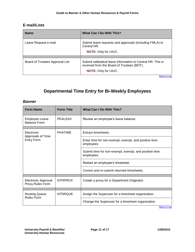#### <span id="page-10-0"></span>**E-mail/Lists**

| <b>Name</b>                     | What Can I Do With This?                                                                                                                |  |
|---------------------------------|-----------------------------------------------------------------------------------------------------------------------------------------|--|
| Leave Request e-mail            | Submit leave requests and approvals (including FMLA) to<br>Central HR.<br><b>NOTE: Only for UIUC.</b>                                   |  |
| Board of Trustees Approval List | Submit sabbatical leave information to Central HR. This is<br>received from the Board of Trustees (BOT).<br><b>NOTE: Only for UIUC.</b> |  |

## **Departmental Time Entry for Bi-Weekly Employees**

#### <span id="page-10-2"></span><span id="page-10-1"></span>*Banner*

| <b>Form Name</b>                             | <b>Form Title</b> | <b>What Can I Do With This?</b>                                     |  |
|----------------------------------------------|-------------------|---------------------------------------------------------------------|--|
| <b>Employee Leave</b><br><b>Balance Form</b> | PEALEAV           | Review an employee's leave balance.                                 |  |
|                                              |                   |                                                                     |  |
| Electronic<br>Approvals of Time              | <b>PHATIME</b>    | Extract timesheets.                                                 |  |
| <b>Entry Form</b>                            |                   | Enter time for non-exempt, exempt, and positive time<br>employees.  |  |
|                                              |                   | Submit time for non-exempt, exempt, and positive time<br>employees. |  |
|                                              |                   | Restart an employee's timesheet.                                    |  |
|                                              |                   | Correct and re-submit returned timesheets.                          |  |
|                                              |                   |                                                                     |  |
| Electronic Approval<br>Proxy Rules Form      | <b>NTRPROX</b>    | Create a proxy for a Department Originator.                         |  |
|                                              |                   |                                                                     |  |
| <b>Routing Queue</b><br><b>Rules Form</b>    | <b>NTRRQUE</b>    | Assign the Superuser for a timesheet organization.                  |  |
|                                              |                   | Change the Superuser for a timesheet organization.                  |  |
|                                              |                   | <b>Back to top</b>                                                  |  |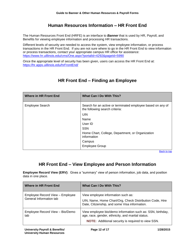#### **Human Resources Information – HR Front End**

<span id="page-11-0"></span>The Human Resources Front End (HRFE) is an interface to *Banner* that is used by HR, Payroll, and Benefits for viewing employee information and processing HR transactions.

Different levels of security are needed to access the system, view employee information, or process transactions in the HR Front End. If you are not sure where to go in the HR Front End to view information or process transactions, contact your appropriate campus HR office for assistance: <https://www.hr.uillinois.edu/cms/One.aspx?portalId=4292&pageId=5990>

Once the appropriate level of security has been given, users can access the HR Front End at: <https://hr.apps.uillinois.edu/hrFrontEnd/>

<span id="page-11-1"></span>

| <b>Where in HR Front End</b> | What Can I Do With This?                                                                      |
|------------------------------|-----------------------------------------------------------------------------------------------|
| <b>Employee Search</b>       | Search for an active or terminated employee based on any of<br>the following search criteria: |
|                              | <b>UIN</b>                                                                                    |
|                              | Name                                                                                          |
|                              | User ID                                                                                       |
|                              | <b>SSN</b>                                                                                    |
|                              | Home Chart, College, Department, or Organization<br>information                               |
|                              | Campus                                                                                        |
|                              | <b>Employee Group</b>                                                                         |

## **HR Front End – Finding an Employee**

Back to top

## **HR Front End – View Employee and Person Information**

<span id="page-11-2"></span>**Employee Record View (ERV)**: Gives a "summary" view of person information, job data, and position data in one place.

| <b>Where in HR Front End</b>                               | What Can I Do With This?                                                                                                                                                     |
|------------------------------------------------------------|------------------------------------------------------------------------------------------------------------------------------------------------------------------------------|
| Employee Record View - Employee<br>General Information tab | View employee information such as:<br>UIN, Name, Home Chart/Org, Check Distribution Code, Hire<br>Date, Citizenship, and some Visa information.                              |
| Employee Record View - Bio/Demo<br>tab                     | View employee bio/demo information such as: SSN, birthday,<br>age, race, gender, ethnicity, and marital status.<br><b>NOTE:</b> Additional security is required to view SSN. |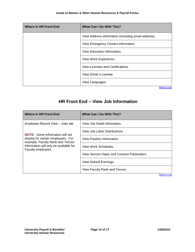| <b>Where in HR Front End</b> | What Can I Do With This?                            |
|------------------------------|-----------------------------------------------------|
|                              | View Address information (including email address). |
|                              | View Emergency Contact information.                 |
|                              | View Education information.                         |
|                              | View Work Experience.                               |
|                              | View Licenses and Certifications.                   |
|                              | View Driver's License.                              |
|                              | View Languages.                                     |
|                              | <b>Back to top</b>                                  |

## <span id="page-12-0"></span>**HR Front End – View Job Information**

| Where in HR Front End                                                                                                                                                            | <b>What Can I Do With This?</b>             |
|----------------------------------------------------------------------------------------------------------------------------------------------------------------------------------|---------------------------------------------|
| Employee Record View - Jobs tab                                                                                                                                                  | View Job Detail information.                |
| <b>NOTE:</b> Some information will not<br>display for certain employees. For<br>example, Faculty Rank and Tenure<br>information will only be available for<br>Faculty employees. | View Job Labor Distributions.               |
|                                                                                                                                                                                  | View Position Information.                  |
|                                                                                                                                                                                  | View Work Schedules.                        |
|                                                                                                                                                                                  | View Service Dates and Contract Parameters. |
|                                                                                                                                                                                  | View Default Earnings.                      |
|                                                                                                                                                                                  | View Faculty Rank and Tenure.               |
|                                                                                                                                                                                  | <b>Back to top</b>                          |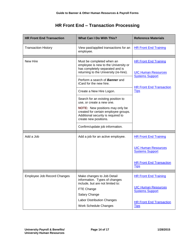## **HR Front End – Transaction Processing**

<span id="page-13-0"></span>

| <b>HR Front End Transaction</b> | <b>What Can I Do With This?</b>                                                                                                                | <b>Reference Materials</b>                                                           |
|---------------------------------|------------------------------------------------------------------------------------------------------------------------------------------------|--------------------------------------------------------------------------------------|
| <b>Transaction History</b>      | View past/applied transactions for an<br>employee.                                                                                             | <b>HR Front End Training</b>                                                         |
| New Hire                        | Must be completed when an<br>employee is new to the University or<br>has completely separated and is<br>returning to the University (re-hire). | <b>HR Front End Training</b><br><b>UIC Human Resources</b><br><b>Systems Support</b> |
|                                 | Perform a search of <b>Banner</b> and<br>iCard for the new hire.                                                                               | <b>HR Front End Transaction</b>                                                      |
|                                 | Create a New Hire Logon.                                                                                                                       | <b>Tips</b>                                                                          |
|                                 | Search for an existing position to<br>use, or create a new one.                                                                                |                                                                                      |
|                                 | <b>NOTE:</b> New positions may only be<br>created for certain employee groups.<br>Additional security is required to<br>create new positions.  |                                                                                      |
|                                 | Confirm/update job information.                                                                                                                |                                                                                      |
| Add a Job                       | Add a job for an active employee.                                                                                                              | <b>HR Front End Training</b>                                                         |
|                                 |                                                                                                                                                | <b>UIC Human Resources</b><br><b>Systems Support</b>                                 |
|                                 |                                                                                                                                                | <b>HR Front End Transaction</b><br><b>Tips</b>                                       |
| Employee Job Record Changes     | Make changes to Job Detail<br>information. Types of changes<br>include, but are not limited to:                                                | <b>HR Front End Training</b>                                                         |
|                                 | FTE Change                                                                                                                                     | <b>UIC Human Resources</b><br><b>Systems Support</b>                                 |
|                                 | Salary Change                                                                                                                                  |                                                                                      |
|                                 | <b>Labor Distribution Changes</b>                                                                                                              | <b>HR Front End Transaction</b>                                                      |
|                                 | Work Schedule Changes                                                                                                                          | <b>Tips</b>                                                                          |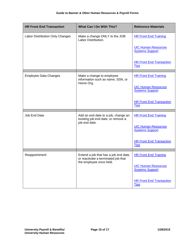| <b>HR Front End Transaction</b> | What Can I Do With This?                                                                                | <b>Reference Materials</b>                           |
|---------------------------------|---------------------------------------------------------------------------------------------------------|------------------------------------------------------|
| Labor Distribution Only Changes | Make a change ONLY to the JOB<br>Labor Distribution.                                                    | <b>HR Front End Training</b>                         |
|                                 |                                                                                                         | <b>UIC Human Resources</b><br><b>Systems Support</b> |
|                                 |                                                                                                         | <b>HR Front End Transaction</b><br><b>Tips</b>       |
| <b>Employee Data Changes</b>    | Make a change to employee<br>information such as name, SSN, or<br>Home Org.                             | <b>HR Front End Training</b>                         |
|                                 |                                                                                                         | <b>UIC Human Resources</b><br><b>Systems Support</b> |
|                                 |                                                                                                         | <b>HR Front End Transaction</b><br><b>Tips</b>       |
| Job End Date                    | Add an end date to a job, change an<br>existing job end date, or remove a<br>job end date.              | <b>HR Front End Training</b>                         |
|                                 |                                                                                                         | <b>UIC Human Resources</b><br><b>Systems Support</b> |
|                                 |                                                                                                         | <b>HR Front End Transaction</b><br><b>Tips</b>       |
| Reappointment                   | Extend a job that has a job end date,<br>or reactivate a terminated job that<br>the employee once held. | <b>HR Front End Training</b>                         |
|                                 |                                                                                                         | <b>UIC Human Resources</b><br><b>Systems Support</b> |
|                                 |                                                                                                         | <b>HR Front End Transaction</b><br><b>Tips</b>       |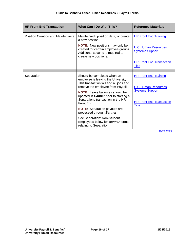| <b>HR Front End Transaction</b>          | <b>What Can I Do With This?</b>                                                                                                                   | <b>Reference Materials</b>                                                                                              |
|------------------------------------------|---------------------------------------------------------------------------------------------------------------------------------------------------|-------------------------------------------------------------------------------------------------------------------------|
| <b>Position Creation and Maintenance</b> | Maintain/edit position data, or create<br>a new position.                                                                                         | <b>HR Front End Training</b>                                                                                            |
|                                          | <b>NOTE:</b> New positions may only be<br>created for certain employee groups.<br>Additional security is required to<br>create new positions.     | <b>UIC Human Resources</b><br><b>Systems Support</b>                                                                    |
|                                          |                                                                                                                                                   | <b>HR Front End Transaction</b><br><b>Tips</b>                                                                          |
|                                          |                                                                                                                                                   |                                                                                                                         |
| Separation                               | Should be completed when an<br>employee is leaving the University.<br>This transaction will end all jobs and<br>remove the employee from Payroll. | <b>HR Front End Training</b><br><b>UIC Human Resources</b><br><b>Systems Support</b><br><b>HR Front End Transaction</b> |
|                                          | <b>NOTE:</b> Leave balances should be<br>updated in <b>Banner</b> prior to starting a<br>Separations transaction in the HR                        |                                                                                                                         |
|                                          | Front End.                                                                                                                                        | <u>Tips</u>                                                                                                             |
|                                          | <b>NOTE:</b> Separation payouts are<br>processed through <b>Banner</b> .                                                                          |                                                                                                                         |
|                                          | See Separation: Non-Student<br>Employees below for <b>Banner</b> forms<br>relating to Separation.                                                 |                                                                                                                         |